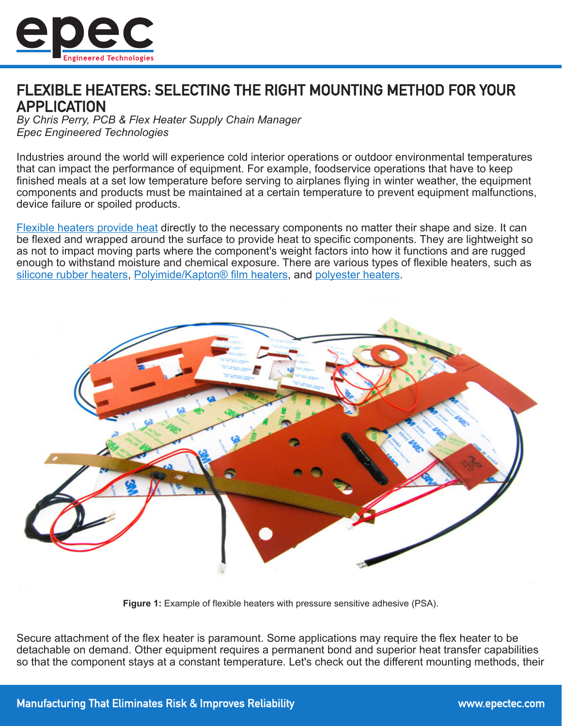

# FLEXIBLE HEATERS: SELECTING THE RIGHT MOUNTING METHOD FOR YOUR APPLICATION

*By Chris Perry, PCB & Flex Heater Supply Chain Manager Epec Engineered Technologies*

Industries around the world will experience cold interior operations or outdoor environmental temperatures that can impact the performance of equipment. For example, foodservice operations that have to keep finished meals at a set low temperature before serving to airplanes flying in winter weather, the equipment components and products must be maintained at a certain temperature to prevent equipment malfunctions, device failure or spoiled products.

[Flexible heaters provide heat](https://www.epectec.com/flexible-heaters/) directly to the necessary components no matter their shape and size. It can be flexed and wrapped around the surface to provide heat to specific components. They are lightweight so as not to impact moving parts where the component's weight factors into how it functions and are rugged enough to withstand moisture and chemical exposure. There are various types of flexible heaters, such as [silicone rubber heaters](https://www.epectec.com/flexible-heaters/silicone-rubber-heaters.html), [Polyimide/Kapton® film heaters,](https://www.epectec.com/flexible-heaters/polyimide-kapton-heaters.html) and [polyester heaters.](https://www.epectec.com/flexible-heaters/polyester-heaters.html)



**Figure 1:** Example of flexible heaters with pressure sensitive adhesive (PSA).

Secure attachment of the flex heater is paramount. Some applications may require the flex heater to be detachable on demand. Other equipment requires a permanent bond and superior heat transfer capabilities so that the component stays at a constant temperature. Let's check out the different mounting methods, their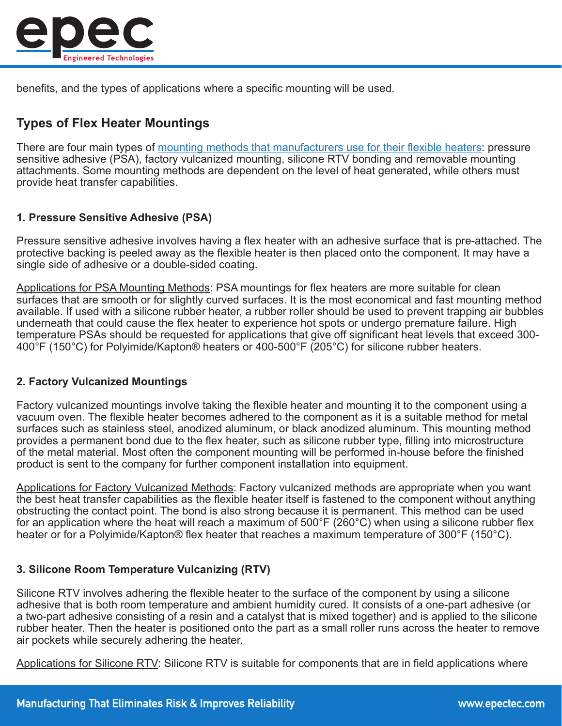

benefits, and the types of applications where a specific mounting will be used.

## **Types of Flex Heater Mountings**

There are four main types of [mounting methods that manufacturers use for their flexible heaters:](https://www.epectec.com/flexible-heaters/mounting-methods.html) pressure sensitive adhesive (PSA), factory vulcanized mounting, silicone RTV bonding and removable mounting attachments. Some mounting methods are dependent on the level of heat generated, while others must provide heat transfer capabilities.

### **1. Pressure Sensitive Adhesive (PSA)**

Pressure sensitive adhesive involves having a flex heater with an adhesive surface that is pre-attached. The protective backing is peeled away as the flexible heater is then placed onto the component. It may have a single side of adhesive or a double-sided coating.

Applications for PSA Mounting Methods: PSA mountings for flex heaters are more suitable for clean surfaces that are smooth or for slightly curved surfaces. It is the most economical and fast mounting method available. If used with a silicone rubber heater, a rubber roller should be used to prevent trapping air bubbles underneath that could cause the flex heater to experience hot spots or undergo premature failure. High temperature PSAs should be requested for applications that give off significant heat levels that exceed 300- 400°F (150°C) for Polyimide/Kapton® heaters or 400-500°F (205°C) for silicone rubber heaters.

#### **2. Factory Vulcanized Mountings**

Factory vulcanized mountings involve taking the flexible heater and mounting it to the component using a vacuum oven. The flexible heater becomes adhered to the component as it is a suitable method for metal surfaces such as stainless steel, anodized aluminum, or black anodized aluminum. This mounting method provides a permanent bond due to the flex heater, such as silicone rubber type, filling into microstructure of the metal material. Most often the component mounting will be performed in-house before the finished product is sent to the company for further component installation into equipment.

Applications for Factory Vulcanized Methods: Factory vulcanized methods are appropriate when you want the best heat transfer capabilities as the flexible heater itself is fastened to the component without anything obstructing the contact point. The bond is also strong because it is permanent. This method can be used for an application where the heat will reach a maximum of 500°F (260°C) when using a silicone rubber flex heater or for a Polyimide/Kapton® flex heater that reaches a maximum temperature of 300°F (150°C).

#### **3. Silicone Room Temperature Vulcanizing (RTV)**

Silicone RTV involves adhering the flexible heater to the surface of the component by using a silicone adhesive that is both room temperature and ambient humidity cured. It consists of a one-part adhesive (or a two-part adhesive consisting of a resin and a catalyst that is mixed together) and is applied to the silicone rubber heater. Then the heater is positioned onto the part as a small roller runs across the heater to remove air pockets while securely adhering the heater.

Applications for Silicone RTV: Silicone RTV is suitable for components that are in field applications where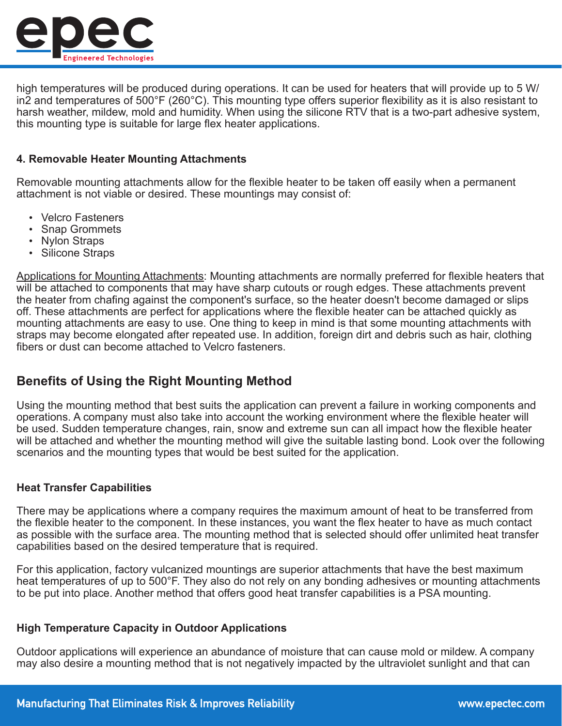

high temperatures will be produced during operations. It can be used for heaters that will provide up to 5 W/ in2 and temperatures of 500°F (260°C). This mounting type offers superior flexibility as it is also resistant to harsh weather, mildew, mold and humidity. When using the silicone RTV that is a two-part adhesive system, this mounting type is suitable for large flex heater applications.

#### **4. Removable Heater Mounting Attachments**

Removable mounting attachments allow for the flexible heater to be taken off easily when a permanent attachment is not viable or desired. These mountings may consist of:

- Velcro Fasteners
- Snap Grommets
- Nylon Straps
- Silicone Straps

Applications for Mounting Attachments: Mounting attachments are normally preferred for flexible heaters that will be attached to components that may have sharp cutouts or rough edges. These attachments prevent the heater from chafing against the component's surface, so the heater doesn't become damaged or slips off. These attachments are perfect for applications where the flexible heater can be attached quickly as mounting attachments are easy to use. One thing to keep in mind is that some mounting attachments with straps may become elongated after repeated use. In addition, foreign dirt and debris such as hair, clothing fibers or dust can become attached to Velcro fasteners.

## **Benefits of Using the Right Mounting Method**

Using the mounting method that best suits the application can prevent a failure in working components and operations. A company must also take into account the working environment where the flexible heater will be used. Sudden temperature changes, rain, snow and extreme sun can all impact how the flexible heater will be attached and whether the mounting method will give the suitable lasting bond. Look over the following scenarios and the mounting types that would be best suited for the application.

#### **Heat Transfer Capabilities**

There may be applications where a company requires the maximum amount of heat to be transferred from the flexible heater to the component. In these instances, you want the flex heater to have as much contact as possible with the surface area. The mounting method that is selected should offer unlimited heat transfer capabilities based on the desired temperature that is required.

For this application, factory vulcanized mountings are superior attachments that have the best maximum heat temperatures of up to 500°F. They also do not rely on any bonding adhesives or mounting attachments to be put into place. Another method that offers good heat transfer capabilities is a PSA mounting.

#### **High Temperature Capacity in Outdoor Applications**

Outdoor applications will experience an abundance of moisture that can cause mold or mildew. A company may also desire a mounting method that is not negatively impacted by the ultraviolet sunlight and that can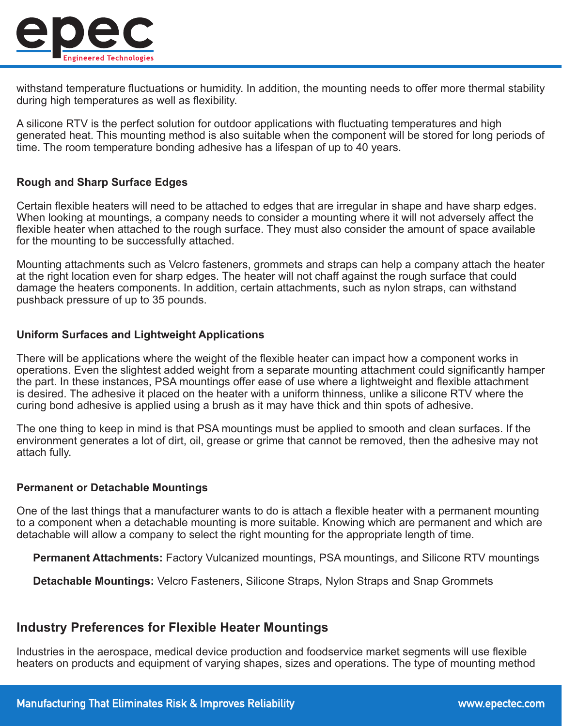

withstand temperature fluctuations or humidity. In addition, the mounting needs to offer more thermal stability during high temperatures as well as flexibility.

A silicone RTV is the perfect solution for outdoor applications with fluctuating temperatures and high generated heat. This mounting method is also suitable when the component will be stored for long periods of time. The room temperature bonding adhesive has a lifespan of up to 40 years.

#### **Rough and Sharp Surface Edges**

Certain flexible heaters will need to be attached to edges that are irregular in shape and have sharp edges. When looking at mountings, a company needs to consider a mounting where it will not adversely affect the flexible heater when attached to the rough surface. They must also consider the amount of space available for the mounting to be successfully attached.

Mounting attachments such as Velcro fasteners, grommets and straps can help a company attach the heater at the right location even for sharp edges. The heater will not chaff against the rough surface that could damage the heaters components. In addition, certain attachments, such as nylon straps, can withstand pushback pressure of up to 35 pounds.

#### **Uniform Surfaces and Lightweight Applications**

There will be applications where the weight of the flexible heater can impact how a component works in operations. Even the slightest added weight from a separate mounting attachment could significantly hamper the part. In these instances, PSA mountings offer ease of use where a lightweight and flexible attachment is desired. The adhesive it placed on the heater with a uniform thinness, unlike a silicone RTV where the curing bond adhesive is applied using a brush as it may have thick and thin spots of adhesive.

The one thing to keep in mind is that PSA mountings must be applied to smooth and clean surfaces. If the environment generates a lot of dirt, oil, grease or grime that cannot be removed, then the adhesive may not attach fully.

#### **Permanent or Detachable Mountings**

One of the last things that a manufacturer wants to do is attach a flexible heater with a permanent mounting to a component when a detachable mounting is more suitable. Knowing which are permanent and which are detachable will allow a company to select the right mounting for the appropriate length of time.

**Permanent Attachments:** Factory Vulcanized mountings, PSA mountings, and Silicone RTV mountings

**Detachable Mountings:** Velcro Fasteners, Silicone Straps, Nylon Straps and Snap Grommets

## **Industry Preferences for Flexible Heater Mountings**

Industries in the aerospace, medical device production and foodservice market segments will use flexible heaters on products and equipment of varying shapes, sizes and operations. The type of mounting method